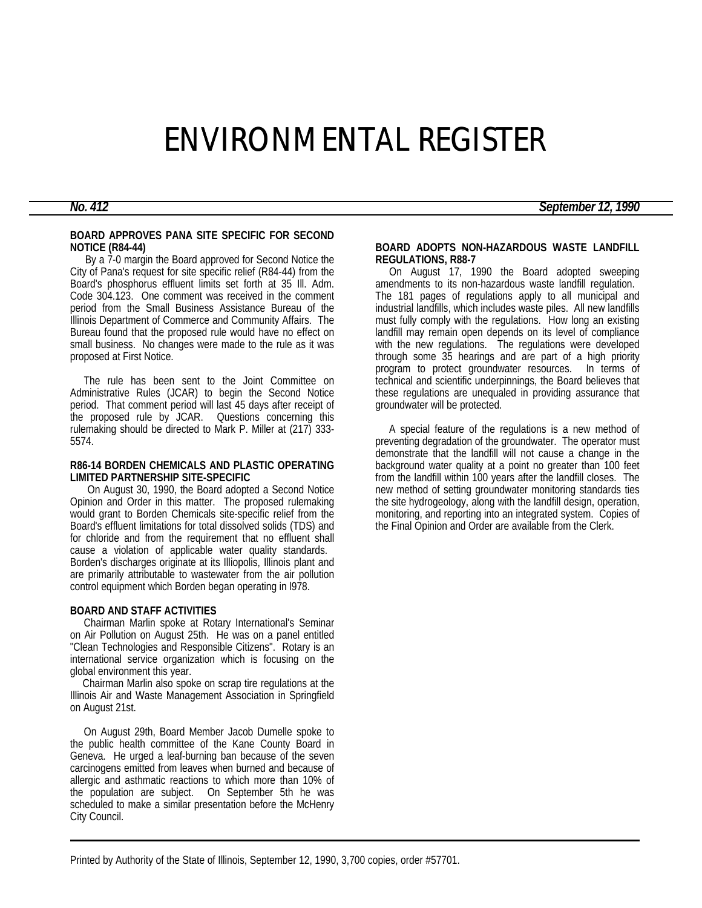# ENVIRONMENTAL REGISTER

#### **BOARD APPROVES PANA SITE SPECIFIC FOR SECOND NOTICE (R84-44)**

 By a 7-0 margin the Board approved for Second Notice the City of Pana's request for site specific relief (R84-44) from the Board's phosphorus effluent limits set forth at 35 Ill. Adm. Code 304.123. One comment was received in the comment period from the Small Business Assistance Bureau of the Illinois Department of Commerce and Community Affairs. The Bureau found that the proposed rule would have no effect on small business. No changes were made to the rule as it was proposed at First Notice.

 The rule has been sent to the Joint Committee on Administrative Rules (JCAR) to begin the Second Notice period. That comment period will last 45 days after receipt of the proposed rule by JCAR. Questions concerning this rulemaking should be directed to Mark P. Miller at (217) 333- 5574.

### **R86-14 BORDEN CHEMICALS AND PLASTIC OPERATING LIMITED PARTNERSHIP SITE-SPECIFIC**

 On August 30, 1990, the Board adopted a Second Notice Opinion and Order in this matter. The proposed rulemaking would grant to Borden Chemicals site-specific relief from the Board's effluent limitations for total dissolved solids (TDS) and for chloride and from the requirement that no effluent shall cause a violation of applicable water quality standards. Borden's discharges originate at its Illiopolis, Illinois plant and are primarily attributable to wastewater from the air pollution control equipment which Borden began operating in l978.

#### **BOARD AND STAFF ACTIVITIES**

 Chairman Marlin spoke at Rotary International's Seminar on Air Pollution on August 25th. He was on a panel entitled "Clean Technologies and Responsible Citizens". Rotary is an international service organization which is focusing on the global environment this year.

 Chairman Marlin also spoke on scrap tire regulations at the Illinois Air and Waste Management Association in Springfield on August 21st.

 On August 29th, Board Member Jacob Dumelle spoke to the public health committee of the Kane County Board in Geneva. He urged a leaf-burning ban because of the seven carcinogens emitted from leaves when burned and because of allergic and asthmatic reactions to which more than 10% of the population are subject. On September 5th he was scheduled to make a similar presentation before the McHenry City Council.

# *No. 412 September 12, 1990*

# **BOARD ADOPTS NON-HAZARDOUS WASTE LANDFILL REGULATIONS, R88-7**

On August 17, 1990 the Board adopted sweeping amendments to its non-hazardous waste landfill regulation. The 181 pages of regulations apply to all municipal and industrial landfills, which includes waste piles. All new landfills must fully comply with the regulations. How long an existing landfill may remain open depends on its level of compliance with the new regulations. The regulations were developed through some 35 hearings and are part of a high priority program to protect groundwater resources. In terms of technical and scientific underpinnings, the Board believes that these regulations are unequaled in providing assurance that groundwater will be protected.

 A special feature of the regulations is a new method of preventing degradation of the groundwater. The operator must demonstrate that the landfill will not cause a change in the background water quality at a point no greater than 100 feet from the landfill within 100 years after the landfill closes. The new method of setting groundwater monitoring standards ties the site hydrogeology, along with the landfill design, operation, monitoring, and reporting into an integrated system. Copies of the Final Opinion and Order are available from the Clerk.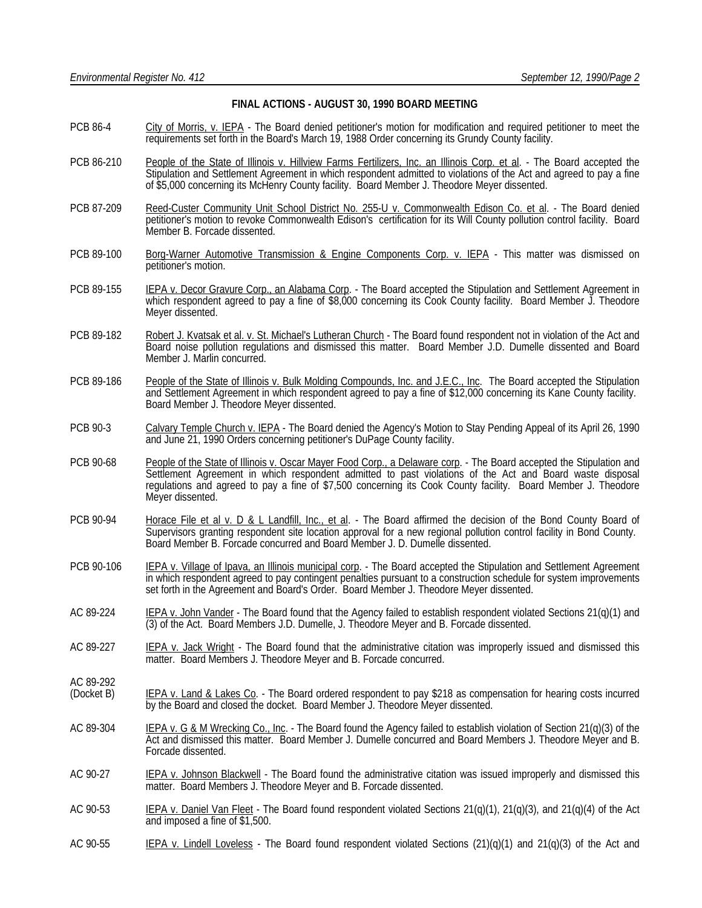## **FINAL ACTIONS - AUGUST 30, 1990 BOARD MEETING**

- PCB 86-4 City of Morris, v. IEPA The Board denied petitioner's motion for modification and required petitioner to meet the requirements set forth in the Board's March 19, 1988 Order concerning its Grundy County facility.
- PCB 86-210 People of the State of Illinois v. Hillview Farms Fertilizers, Inc. an Illinois Corp. et al. The Board accepted the Stipulation and Settlement Agreement in which respondent admitted to violations of the Act and agreed to pay a fine of \$5,000 concerning its McHenry County facility. Board Member J. Theodore Meyer dissented.
- PCB 87-209 Reed-Custer Community Unit School District No. 255-U v. Commonwealth Edison Co. et al. The Board denied petitioner's motion to revoke Commonwealth Edison's certification for its Will County pollution control facility. Board Member B. Forcade dissented.
- PCB 89-100 Borg-Warner Automotive Transmission & Engine Components Corp. v. IEPA This matter was dismissed on petitioner's motion.
- PCB 89-155 IEPA v. Decor Gravure Corp., an Alabama Corp. The Board accepted the Stipulation and Settlement Agreement in which respondent agreed to pay a fine of \$8,000 concerning its Cook County facility. Board Member J. Theodore Meyer dissented.
- PCB 89-182 Robert J. Kvatsak et al. v. St. Michael's Lutheran Church The Board found respondent not in violation of the Act and Board noise pollution regulations and dismissed this matter. Board Member J.D. Dumelle dissented and Board Member J. Marlin concurred.
- PCB 89-186 People of the State of Illinois v. Bulk Molding Compounds, Inc. and J.E.C., Inc. The Board accepted the Stipulation and Settlement Agreement in which respondent agreed to pay a fine of \$12,000 concerning its Kane County facility. Board Member J. Theodore Meyer dissented.
- PCB 90-3 Calvary Temple Church v. IEPA The Board denied the Agency's Motion to Stay Pending Appeal of its April 26, 1990 and June 21, 1990 Orders concerning petitioner's DuPage County facility.
- PCB 90-68 People of the State of Illinois v. Oscar Mayer Food Corp., a Delaware corp. The Board accepted the Stipulation and Settlement Agreement in which respondent admitted to past violations of the Act and Board waste disposal regulations and agreed to pay a fine of \$7,500 concerning its Cook County facility. Board Member J. Theodore Meyer dissented.
- PCB 90-94 Horace File et al v. D & L Landfill, Inc., et al. The Board affirmed the decision of the Bond County Board of Supervisors granting respondent site location approval for a new regional pollution control facility in Bond County. Board Member B. Forcade concurred and Board Member J. D. Dumelle dissented.
- PCB 90-106 IEPA v. Village of Ipava, an Illinois municipal corp. The Board accepted the Stipulation and Settlement Agreement in which respondent agreed to pay contingent penalties pursuant to a construction schedule for system improvements set forth in the Agreement and Board's Order. Board Member J. Theodore Meyer dissented.
- AC 89-224 IEPA v. John Vander The Board found that the Agency failed to establish respondent violated Sections 21(q)(1) and (3) of the Act. Board Members J.D. Dumelle, J. Theodore Meyer and B. Forcade dissented.
- AC 89-227 IEPA v. Jack Wright The Board found that the administrative citation was improperly issued and dismissed this matter. Board Members J. Theodore Meyer and B. Forcade concurred.
- AC 89-292<br>(Docket B) IEPA v. Land & Lakes Co. - The Board ordered respondent to pay \$218 as compensation for hearing costs incurred by the Board and closed the docket. Board Member J. Theodore Meyer dissented.
- AC 89-304 IEPA v. G & M Wrecking Co., Inc. The Board found the Agency failed to establish violation of Section 21(q)(3) of the Act and dismissed this matter. Board Member J. Dumelle concurred and Board Members J. Theodore Meyer and B. Forcade dissented.
- AC 90-27 IEPA v. Johnson Blackwell The Board found the administrative citation was issued improperly and dismissed this matter. Board Members J. Theodore Meyer and B. Forcade dissented.
- AC 90-53 IEPA v. Daniel Van Fleet The Board found respondent violated Sections 21(q)(1), 21(q)(3), and 21(q)(4) of the Act and imposed a fine of \$1,500.
- AC 90-55 IEPA v. Lindell Loveless The Board found respondent violated Sections  $(21)(q)(1)$  and  $21(q)(3)$  of the Act and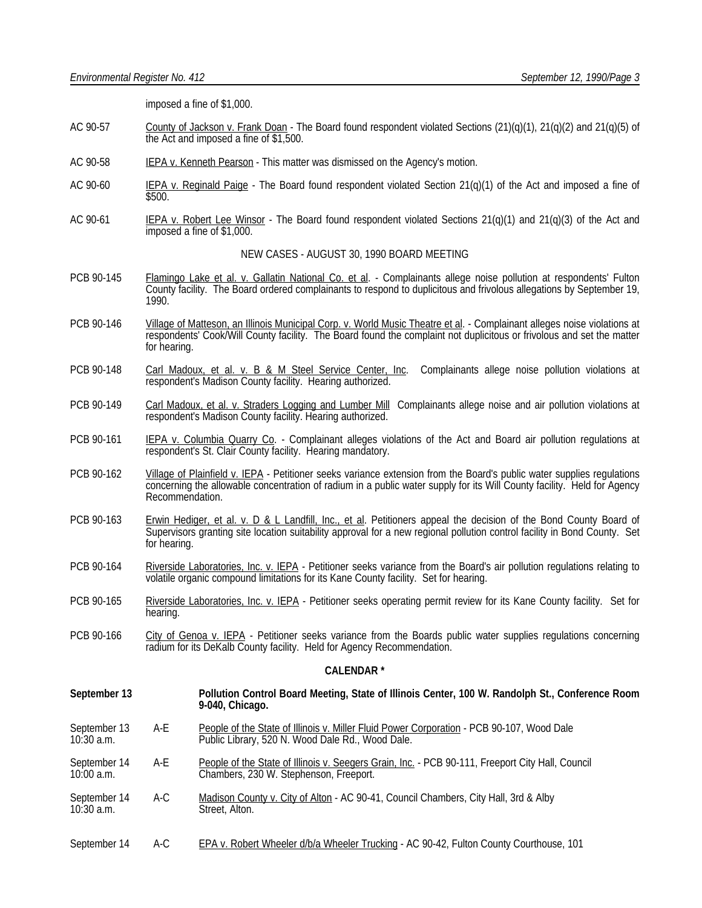imposed a fine of \$1,000.

- AC 90-57 County of Jackson v. Frank Doan The Board found respondent violated Sections (21)(q)(1), 21(q)(2) and 21(q)(5) of the Act and imposed a fine of \$1,500.
- AC 90-58 IEPA v. Kenneth Pearson This matter was dismissed on the Agency's motion.
- AC 90-60 IEPA v. Reginald Paige The Board found respondent violated Section  $21(q)(1)$  of the Act and imposed a fine of \$500.
- AC 90-61 IEPA v. Robert Lee Winsor The Board found respondent violated Sections  $21(q)(1)$  and  $21(q)(3)$  of the Act and imposed a fine of \$1,000.

NEW CASES - AUGUST 30, 1990 BOARD MEETING

- PCB 90-145 Flamingo Lake et al. v. Gallatin National Co. et al. Complainants allege noise pollution at respondents' Fulton County facility. The Board ordered complainants to respond to duplicitous and frivolous allegations by September 19, 1990.
- PCB 90-146 Village of Matteson, an Illinois Municipal Corp. v. World Music Theatre et al. Complainant alleges noise violations at respondents' Cook/Will County facility. The Board found the complaint not duplicitous or frivolous and set the matter for hearing.
- PCB 90-148 Carl Madoux, et al. v. B & M Steel Service Center, Inc. Complainants allege noise pollution violations at respondent's Madison County facility. Hearing authorized.
- PCB 90-149 Carl Madoux, et al. v. Straders Logging and Lumber Mill Complainants allege noise and air pollution violations at respondent's Madison County facility. Hearing authorized.
- PCB 90-161 IEPA v. Columbia Quarry Co. Complainant alleges violations of the Act and Board air pollution regulations at respondent's St. Clair County facility. Hearing mandatory.
- PCB 90-162 Village of Plainfield v. IEPA Petitioner seeks variance extension from the Board's public water supplies regulations concerning the allowable concentration of radium in a public water supply for its Will County facility. Held for Agency Recommendation.
- PCB 90-163 Erwin Hediger, et al. v. D & L Landfill, Inc., et al. Petitioners appeal the decision of the Bond County Board of Supervisors granting site location suitability approval for a new regional pollution control facility in Bond County. Set for hearing.
- PCB 90-164 Riverside Laboratories, Inc. v. IEPA Petitioner seeks variance from the Board's air pollution regulations relating to volatile organic compound limitations for its Kane County facility. Set for hearing.
- PCB 90-165 Riverside Laboratories, Inc. v. IEPA Petitioner seeks operating permit review for its Kane County facility. Set for hearing.
- PCB 90-166 City of Genoa v. IEPA Petitioner seeks variance from the Boards public water supplies regulations concerning radium for its DeKalb County facility. Held for Agency Recommendation.

### **CALENDAR \***

- **September 13 Pollution Control Board Meeting, State of Illinois Center, 100 W. Randolph St., Conference Room 9-040, Chicago.**
- September 13 A-E People of the State of Illinois v. Miller Fluid Power Corporation PCB 90-107, Wood Dale Corporation PCB 90-107, Wood Dale Public Library, 520 N. Wood Dale Rd., Wood Dale.
- September 14 A-E People of the State of Illinois v. Seegers Grain, Inc. PCB 90-111, Freeport City Hall, Council 10:00 a.m. Chambers, 230 W. Stephenson, Freeport.
- September 14 A-C Madison County v. City of Alton AC 90-41, Council Chambers, City Hall, 3rd & Alby<br>10:30 a.m. Street, Alton. Street, Alton.
- September 14 A-C EPA v. Robert Wheeler d/b/a Wheeler Trucking AC 90-42, Fulton County Courthouse, 101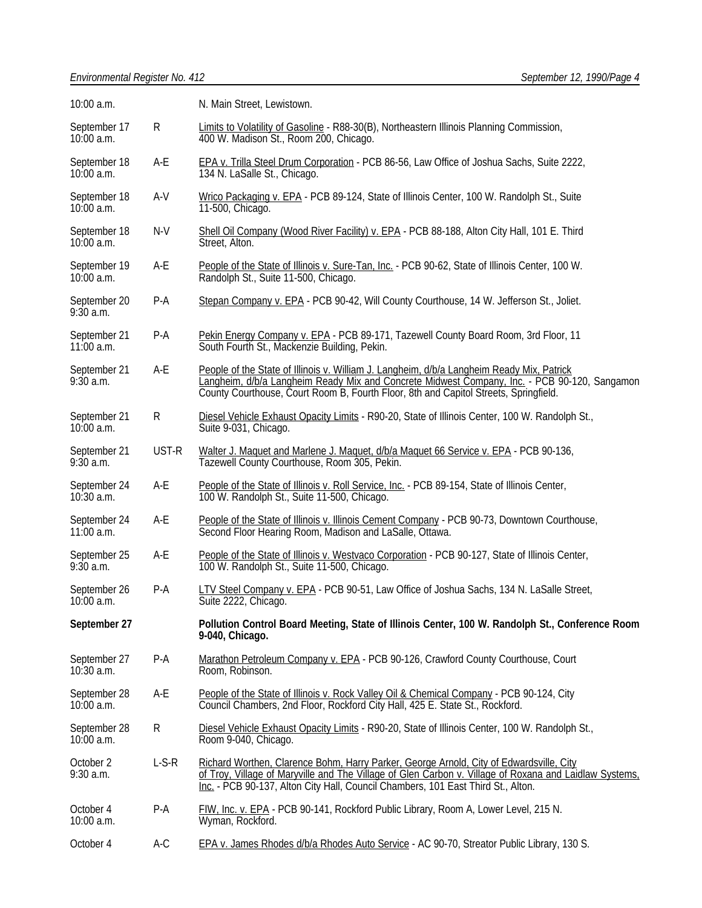| 10:00 a.m.                   |           | N. Main Street, Lewistown.                                                                                                                                                                                                                                                            |  |
|------------------------------|-----------|---------------------------------------------------------------------------------------------------------------------------------------------------------------------------------------------------------------------------------------------------------------------------------------|--|
| September 17<br>$10:00$ a.m. | R         | Limits to Volatility of Gasoline - R88-30(B), Northeastern Illinois Planning Commission,<br>400 W. Madison St., Room 200, Chicago.                                                                                                                                                    |  |
| September 18<br>10:00 a.m.   | A-E       | EPA v. Trilla Steel Drum Corporation - PCB 86-56, Law Office of Joshua Sachs, Suite 2222,<br>134 N. LaSalle St., Chicago.                                                                                                                                                             |  |
| September 18<br>$10:00$ a.m. | $A-V$     | Wrico Packaging v. EPA - PCB 89-124, State of Illinois Center, 100 W. Randolph St., Suite<br>11-500, Chicago.                                                                                                                                                                         |  |
| September 18<br>$10:00$ a.m. | $N-V$     | Shell Oil Company (Wood River Facility) v. EPA - PCB 88-188, Alton City Hall, 101 E. Third<br>Street, Alton.                                                                                                                                                                          |  |
| September 19<br>10:00 a.m.   | A-E       | People of the State of Illinois v. Sure-Tan, Inc. - PCB 90-62, State of Illinois Center, 100 W.<br>Randolph St., Suite 11-500, Chicago.                                                                                                                                               |  |
| September 20<br>$9:30$ a.m.  | $P-A$     | Stepan Company v. EPA - PCB 90-42, Will County Courthouse, 14 W. Jefferson St., Joliet.                                                                                                                                                                                               |  |
| September 21<br>$11:00$ a.m. | P-A       | Pekin Energy Company v. EPA - PCB 89-171, Tazewell County Board Room, 3rd Floor, 11<br>South Fourth St., Mackenzie Building, Pekin.                                                                                                                                                   |  |
| September 21<br>$9:30$ a.m.  | A-E       | People of the State of Illinois v. William J. Langheim, d/b/a Langheim Ready Mix, Patrick<br>Langheim, d/b/a Langheim Ready Mix and Concrete Midwest Company, Inc. - PCB 90-120, Sangamon<br>County Courthouse, Court Room B, Fourth Floor, 8th and Capitol Streets, Springfield.     |  |
| September 21<br>10:00 a.m.   | R         | Diesel Vehicle Exhaust Opacity Limits - R90-20, State of Illinois Center, 100 W. Randolph St.,<br>Suite 9-031, Chicago.                                                                                                                                                               |  |
| September 21<br>$9:30$ a.m.  | UST-R     | Walter J. Maquet and Marlene J. Maquet, d/b/a Maquet 66 Service v. EPA - PCB 90-136,<br>Tazewell County Courthouse, Room 305, Pekin.                                                                                                                                                  |  |
| September 24<br>$10:30$ a.m. | A-E       | People of the State of Illinois v. Roll Service, Inc. - PCB 89-154, State of Illinois Center,<br>100 W. Randolph St., Suite 11-500, Chicago.                                                                                                                                          |  |
| September 24<br>$11:00$ a.m. | A-E       | People of the State of Illinois v. Illinois Cement Company - PCB 90-73, Downtown Courthouse,<br>Second Floor Hearing Room, Madison and LaSalle, Ottawa.                                                                                                                               |  |
| September 25<br>$9:30$ a.m.  | $A-E$     | People of the State of Illinois v. Westvaco Corporation - PCB 90-127, State of Illinois Center,<br>100 W. Randolph St., Suite 11-500, Chicago.                                                                                                                                        |  |
| September 26<br>10:00 a.m.   | $P-A$     | LTV Steel Company v. EPA - PCB 90-51, Law Office of Joshua Sachs, 134 N. LaSalle Street,<br>Suite 2222, Chicago.                                                                                                                                                                      |  |
| September 27                 |           | Pollution Control Board Meeting, State of Illinois Center, 100 W. Randolph St., Conference Room<br>9-040, Chicago.                                                                                                                                                                    |  |
| September 27<br>10:30 a.m.   | $P-A$     | Marathon Petroleum Company v. EPA - PCB 90-126, Crawford County Courthouse, Court<br>Room, Robinson.                                                                                                                                                                                  |  |
| September 28<br>$10:00$ a.m. | A-E       | People of the State of Illinois v. Rock Valley Oil & Chemical Company - PCB 90-124, City<br>Council Chambers, 2nd Floor, Rockford City Hall, 425 E. State St., Rockford.                                                                                                              |  |
| September 28<br>10:00 a.m.   | ${\sf R}$ | Diesel Vehicle Exhaust Opacity Limits - R90-20, State of Illinois Center, 100 W. Randolph St.,<br>Room 9-040, Chicago.                                                                                                                                                                |  |
| October 2<br>9:30 a.m.       | $L-S-R$   | Richard Worthen, Clarence Bohm, Harry Parker, George Arnold, City of Edwardsville, City<br>of Troy, Village of Maryville and The Village of Glen Carbon v. Village of Roxana and Laidlaw Systems.<br>Inc. - PCB 90-137, Alton City Hall, Council Chambers, 101 East Third St., Alton. |  |
| October 4<br>10:00 a.m.      | $P-A$     | FIW, Inc. v. EPA - PCB 90-141, Rockford Public Library, Room A, Lower Level, 215 N.<br>Wyman, Rockford.                                                                                                                                                                               |  |
| October 4                    | A-C       | EPA v. James Rhodes d/b/a Rhodes Auto Service - AC 90-70, Streator Public Library, 130 S.                                                                                                                                                                                             |  |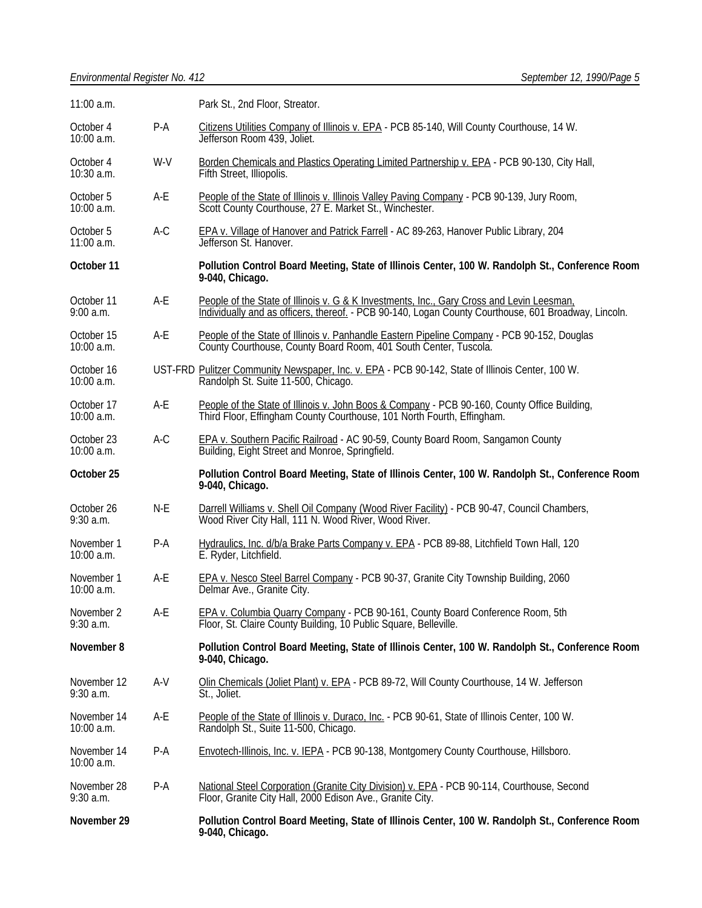| 11:00 a.m.                  |       | Park St., 2nd Floor, Streator.                                                                                                                                                                    |  |
|-----------------------------|-------|---------------------------------------------------------------------------------------------------------------------------------------------------------------------------------------------------|--|
| October 4<br>10:00 a.m.     | $P-A$ | Citizens Utilities Company of Illinois v. EPA - PCB 85-140, Will County Courthouse, 14 W.<br>Jefferson Room 439, Joliet.                                                                          |  |
| October 4<br>10:30 a.m.     | W-V   | Borden Chemicals and Plastics Operating Limited Partnership v. EPA - PCB 90-130, City Hall,<br>Fifth Street, Illiopolis.                                                                          |  |
| October 5<br>10:00 a.m.     | A-E   | People of the State of Illinois v. Illinois Valley Paving Company - PCB 90-139, Jury Room, Scott County Courthouse, 27 E. Market St., Winchester.                                                 |  |
| October 5<br>$11:00$ a.m.   | $A-C$ | EPA v. Village of Hanover and Patrick Farrell - AC 89-263, Hanover Public Library, 204<br>Jefferson St. Hanover.                                                                                  |  |
| October 11                  |       | Pollution Control Board Meeting, State of Illinois Center, 100 W. Randolph St., Conference Room<br>9-040, Chicago.                                                                                |  |
| October 11<br>9:00 a.m.     | A-E   | People of the State of Illinois v. G & K Investments, Inc., Gary Cross and Levin Leesman,<br>Individually and as officers, thereof. - PCB 90-140, Logan County Courthouse, 601 Broadway, Lincoln. |  |
| October 15<br>10:00 a.m.    | A-E   | People of the State of Illinois v. Panhandle Eastern Pipeline Company - PCB 90-152, Douglas<br>County Courthouse, County Board Room, 401 South Center, Tuscola.                                   |  |
| October 16<br>10:00 a.m.    |       | UST-FRD Pulitzer Community Newspaper, Inc. v. EPA - PCB 90-142, State of Illinois Center, 100 W.<br>Randolph St. Suite 11-500, Chicago.                                                           |  |
| October 17<br>10:00 a.m.    | A-E   | People of the State of Illinois v. John Boos & Company - PCB 90-160, County Office Building, Third Floor, Effingham County Courthouse, 101 North Fourth, Effingham.                               |  |
| October 23<br>10:00 a.m.    | $A-C$ | EPA v. Southern Pacific Railroad - AC 90-59, County Board Room, Sangamon County<br>Building, Eight Street and Monroe, Springfield.                                                                |  |
|                             |       |                                                                                                                                                                                                   |  |
| October 25                  |       | Pollution Control Board Meeting, State of Illinois Center, 100 W. Randolph St., Conference Room<br>9-040, Chicago.                                                                                |  |
| October 26<br>$9:30$ a.m.   | N-E   | Darrell Williams v. Shell Oil Company (Wood River Facility) - PCB 90-47, Council Chambers,<br>Wood River City Hall, 111 N. Wood River, Wood River.                                                |  |
| November 1<br>10:00 a.m.    | $P-A$ | Hydraulics, Inc. d/b/a Brake Parts Company v. EPA - PCB 89-88, Litchfield Town Hall, 120<br>E. Ryder, Litchfield.                                                                                 |  |
| November 1<br>10:00 a.m.    | A-E   | EPA v. Nesco Steel Barrel Company - PCB 90-37, Granite City Township Building, 2060<br>Delmar Ave., Granite City.                                                                                 |  |
| November 2<br>$9:30$ a.m.   | A-E   | EPA v. Columbia Quarry Company - PCB 90-161, County Board Conference Room, 5th<br>Floor, St. Claire County Building, 10 Public Square, Belleville.                                                |  |
| November 8                  |       | Pollution Control Board Meeting, State of Illinois Center, 100 W. Randolph St., Conference Room<br>9-040, Chicago.                                                                                |  |
| November 12<br>$9:30$ a.m.  | A-V   | Olin Chemicals (Joliet Plant) v. EPA - PCB 89-72, Will County Courthouse, 14 W. Jefferson<br>St., Joliet.                                                                                         |  |
| November 14<br>10:00 a.m.   | A-E   | People of the State of Illinois v. Duraco, Inc. - PCB 90-61, State of Illinois Center, 100 W.<br>Randolph St., Suite 11-500, Chicago.                                                             |  |
| November 14<br>$10:00$ a.m. | $P-A$ | Envotech-Illinois, Inc. v. IEPA - PCB 90-138, Montgomery County Courthouse, Hillsboro.                                                                                                            |  |
| November 28<br>$9:30$ a.m.  | $P-A$ | National Steel Corporation (Granite City Division) v. EPA - PCB 90-114, Courthouse, Second<br>Floor, Granite City Hall, 2000 Edison Ave., Granite City.                                           |  |